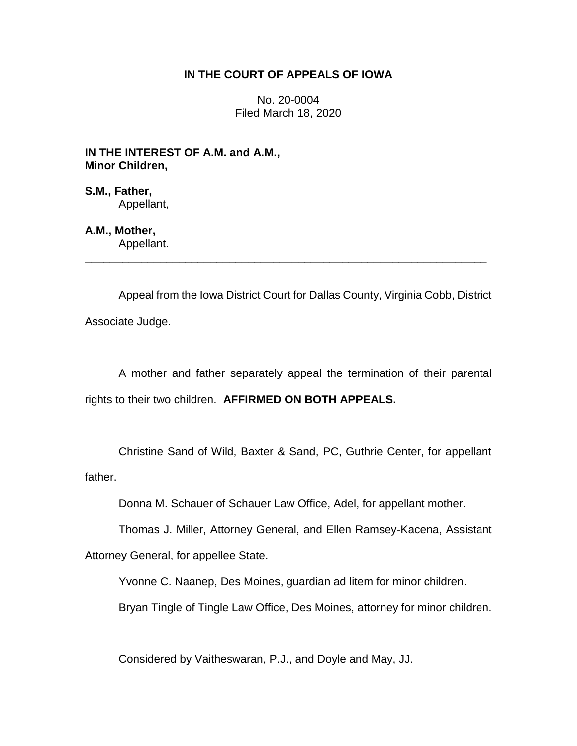## **IN THE COURT OF APPEALS OF IOWA**

No. 20-0004 Filed March 18, 2020

**IN THE INTEREST OF A.M. and A.M., Minor Children,**

**S.M., Father,** Appellant,

**A.M., Mother,** Appellant.

Appeal from the Iowa District Court for Dallas County, Virginia Cobb, District Associate Judge.

\_\_\_\_\_\_\_\_\_\_\_\_\_\_\_\_\_\_\_\_\_\_\_\_\_\_\_\_\_\_\_\_\_\_\_\_\_\_\_\_\_\_\_\_\_\_\_\_\_\_\_\_\_\_\_\_\_\_\_\_\_\_\_\_

A mother and father separately appeal the termination of their parental rights to their two children. **AFFIRMED ON BOTH APPEALS.**

Christine Sand of Wild, Baxter & Sand, PC, Guthrie Center, for appellant father.

Donna M. Schauer of Schauer Law Office, Adel, for appellant mother.

Thomas J. Miller, Attorney General, and Ellen Ramsey-Kacena, Assistant

Attorney General, for appellee State.

Yvonne C. Naanep, Des Moines, guardian ad litem for minor children.

Bryan Tingle of Tingle Law Office, Des Moines, attorney for minor children.

Considered by Vaitheswaran, P.J., and Doyle and May, JJ.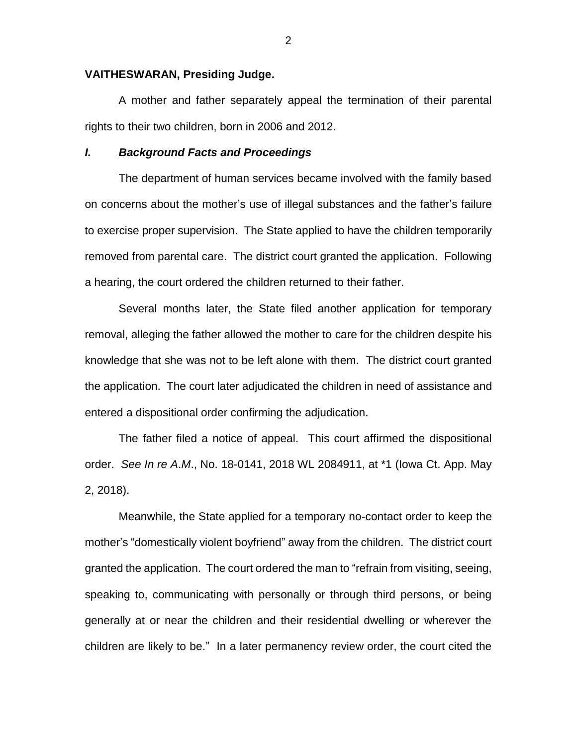#### **VAITHESWARAN, Presiding Judge.**

A mother and father separately appeal the termination of their parental rights to their two children, born in 2006 and 2012.

#### *I. Background Facts and Proceedings*

The department of human services became involved with the family based on concerns about the mother's use of illegal substances and the father's failure to exercise proper supervision. The State applied to have the children temporarily removed from parental care. The district court granted the application. Following a hearing, the court ordered the children returned to their father.

Several months later, the State filed another application for temporary removal, alleging the father allowed the mother to care for the children despite his knowledge that she was not to be left alone with them. The district court granted the application. The court later adjudicated the children in need of assistance and entered a dispositional order confirming the adjudication.

The father filed a notice of appeal. This court affirmed the dispositional order. *See In re A*.*M*., No. 18-0141, 2018 WL 2084911, at \*1 (Iowa Ct. App. May 2, 2018).

Meanwhile, the State applied for a temporary no-contact order to keep the mother's "domestically violent boyfriend" away from the children. The district court granted the application. The court ordered the man to "refrain from visiting, seeing, speaking to, communicating with personally or through third persons, or being generally at or near the children and their residential dwelling or wherever the children are likely to be." In a later permanency review order, the court cited the

2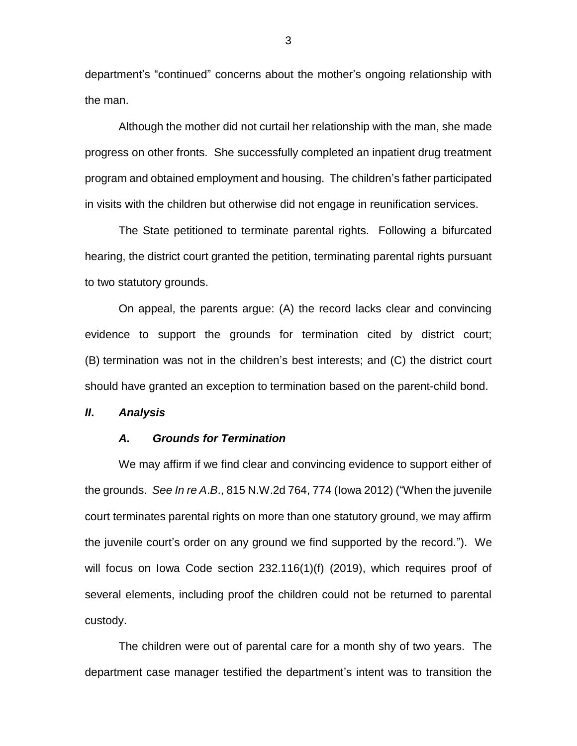department's "continued" concerns about the mother's ongoing relationship with the man.

Although the mother did not curtail her relationship with the man, she made progress on other fronts. She successfully completed an inpatient drug treatment program and obtained employment and housing. The children's father participated in visits with the children but otherwise did not engage in reunification services.

The State petitioned to terminate parental rights. Following a bifurcated hearing, the district court granted the petition, terminating parental rights pursuant to two statutory grounds.

On appeal, the parents argue: (A) the record lacks clear and convincing evidence to support the grounds for termination cited by district court; (B) termination was not in the children's best interests; and (C) the district court should have granted an exception to termination based on the parent-child bond.

*II***.** *Analysis*

#### *A. Grounds for Termination*

We may affirm if we find clear and convincing evidence to support either of the grounds. *See In re A*.*B*., 815 N.W.2d 764, 774 (Iowa 2012) ("When the juvenile court terminates parental rights on more than one statutory ground, we may affirm the juvenile court's order on any ground we find supported by the record."). We will focus on Iowa Code section 232.116(1)(f) (2019), which requires proof of several elements, including proof the children could not be returned to parental custody.

The children were out of parental care for a month shy of two years. The department case manager testified the department's intent was to transition the

3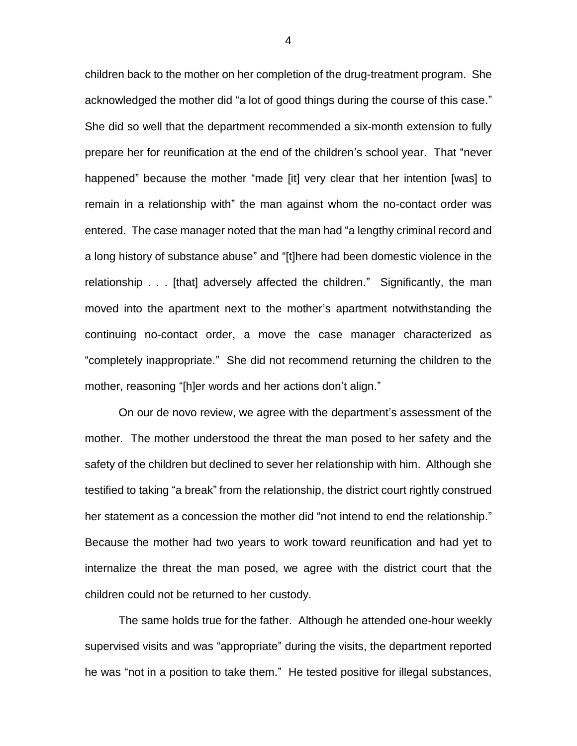children back to the mother on her completion of the drug-treatment program. She acknowledged the mother did "a lot of good things during the course of this case." She did so well that the department recommended a six-month extension to fully prepare her for reunification at the end of the children's school year. That "never happened" because the mother "made [it] very clear that her intention [was] to remain in a relationship with" the man against whom the no-contact order was entered. The case manager noted that the man had "a lengthy criminal record and a long history of substance abuse" and "[t]here had been domestic violence in the relationship . . . [that] adversely affected the children." Significantly, the man moved into the apartment next to the mother's apartment notwithstanding the continuing no-contact order, a move the case manager characterized as "completely inappropriate." She did not recommend returning the children to the mother, reasoning "[h]er words and her actions don't align."

On our de novo review, we agree with the department's assessment of the mother. The mother understood the threat the man posed to her safety and the safety of the children but declined to sever her relationship with him. Although she testified to taking "a break" from the relationship, the district court rightly construed her statement as a concession the mother did "not intend to end the relationship." Because the mother had two years to work toward reunification and had yet to internalize the threat the man posed, we agree with the district court that the children could not be returned to her custody.

The same holds true for the father. Although he attended one-hour weekly supervised visits and was "appropriate" during the visits, the department reported he was "not in a position to take them." He tested positive for illegal substances,

4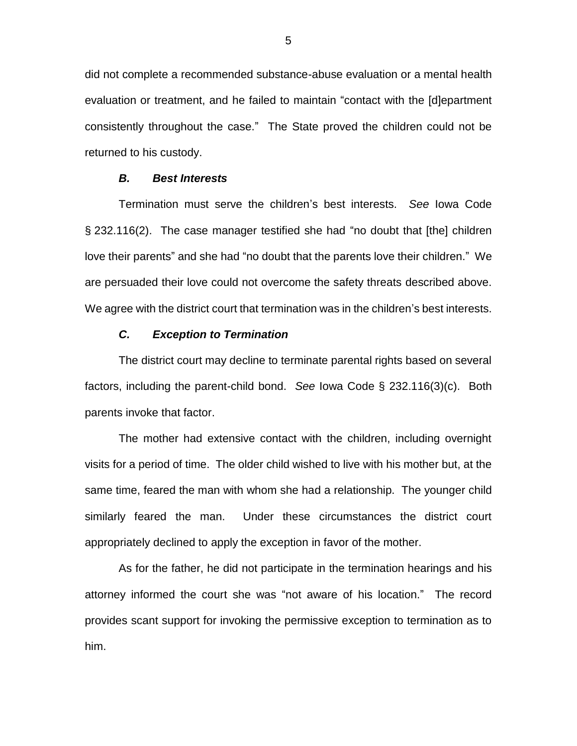did not complete a recommended substance-abuse evaluation or a mental health evaluation or treatment, and he failed to maintain "contact with the [d]epartment consistently throughout the case." The State proved the children could not be returned to his custody.

### *B. Best Interests*

Termination must serve the children's best interests. *See* Iowa Code § 232.116(2). The case manager testified she had "no doubt that [the] children love their parents" and she had "no doubt that the parents love their children." We are persuaded their love could not overcome the safety threats described above. We agree with the district court that termination was in the children's best interests.

#### *C. Exception to Termination*

The district court may decline to terminate parental rights based on several factors, including the parent-child bond. *See* Iowa Code § 232.116(3)(c). Both parents invoke that factor.

The mother had extensive contact with the children, including overnight visits for a period of time. The older child wished to live with his mother but, at the same time, feared the man with whom she had a relationship. The younger child similarly feared the man. Under these circumstances the district court appropriately declined to apply the exception in favor of the mother.

As for the father, he did not participate in the termination hearings and his attorney informed the court she was "not aware of his location." The record provides scant support for invoking the permissive exception to termination as to him.